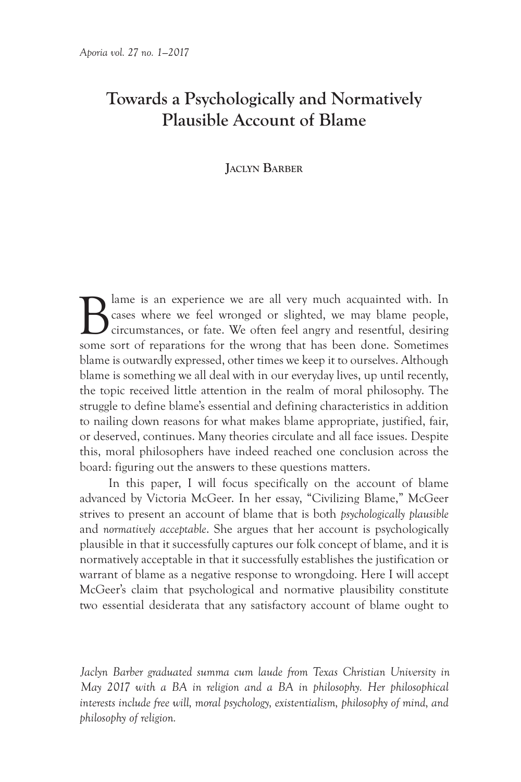# **Towards a Psychologically and Normatively Plausible Account of Blame**

## **Jaclyn BarBer**

Blame is an experience we are all very much acquainted with. In cases where we feel wronged or slighted, we may blame people, circumstances, or fate. We often feel angry and resentful, desiring cases where we feel wronged or slighted, we may blame people, circumstances, or fate. We often feel angry and resentful, desiring some sort of reparations for the wrong that has been done. Sometimes blame is outwardly expressed, other times we keep it to ourselves. Although blame is something we all deal with in our everyday lives, up until recently, the topic received little attention in the realm of moral philosophy. The struggle to define blame's essential and defining characteristics in addition to nailing down reasons for what makes blame appropriate, justified, fair, or deserved, continues. Many theories circulate and all face issues. Despite this, moral philosophers have indeed reached one conclusion across the board: figuring out the answers to these questions matters.

In this paper, I will focus specifically on the account of blame advanced by Victoria McGeer. In her essay, "Civilizing Blame," McGeer strives to present an account of blame that is both *psychologically plausible*  and *normatively acceptable*. She argues that her account is psychologically plausible in that it successfully captures our folk concept of blame, and it is normatively acceptable in that it successfully establishes the justification or warrant of blame as a negative response to wrongdoing. Here I will accept McGeer's claim that psychological and normative plausibility constitute two essential desiderata that any satisfactory account of blame ought to

*Jaclyn Barber graduated summa cum laude from Texas Christian University in May 2017 with a BA in religion and a BA in philosophy. Her philosophical interests include free will, moral psychology, existentialism, philosophy of mind, and philosophy of religion.*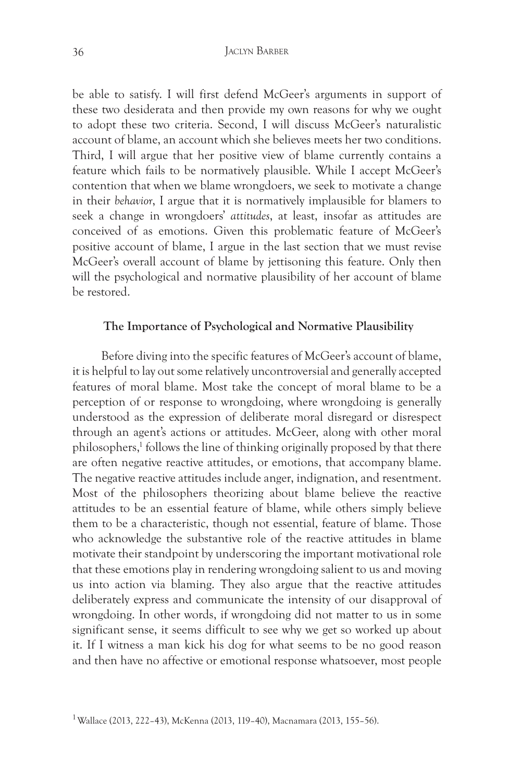be able to satisfy. I will first defend McGeer's arguments in support of these two desiderata and then provide my own reasons for why we ought to adopt these two criteria. Second, I will discuss McGeer's naturalistic account of blame, an account which she believes meets her two conditions. Third, I will argue that her positive view of blame currently contains a feature which fails to be normatively plausible. While I accept McGeer's contention that when we blame wrongdoers, we seek to motivate a change in their *behavior*, I argue that it is normatively implausible for blamers to seek a change in wrongdoers' *attitudes*, at least, insofar as attitudes are conceived of as emotions. Given this problematic feature of McGeer's positive account of blame, I argue in the last section that we must revise McGeer's overall account of blame by jettisoning this feature. Only then will the psychological and normative plausibility of her account of blame be restored.

#### **The Importance of Psychological and Normative Plausibility**

Before diving into the specific features of McGeer's account of blame, it is helpful to lay out some relatively uncontroversial and generally accepted features of moral blame. Most take the concept of moral blame to be a perception of or response to wrongdoing, where wrongdoing is generally understood as the expression of deliberate moral disregard or disrespect through an agent's actions or attitudes. McGeer, along with other moral philosophers,<sup>1</sup> follows the line of thinking originally proposed by that there are often negative reactive attitudes, or emotions, that accompany blame. The negative reactive attitudes include anger, indignation, and resentment. Most of the philosophers theorizing about blame believe the reactive attitudes to be an essential feature of blame, while others simply believe them to be a characteristic, though not essential, feature of blame. Those who acknowledge the substantive role of the reactive attitudes in blame motivate their standpoint by underscoring the important motivational role that these emotions play in rendering wrongdoing salient to us and moving us into action via blaming. They also argue that the reactive attitudes deliberately express and communicate the intensity of our disapproval of wrongdoing. In other words, if wrongdoing did not matter to us in some significant sense, it seems difficult to see why we get so worked up about it. If I witness a man kick his dog for what seems to be no good reason and then have no affective or emotional response whatsoever, most people

<sup>&</sup>lt;sup>1</sup> Wallace (2013, 222–43), McKenna (2013, 119–40), Macnamara (2013, 155–56).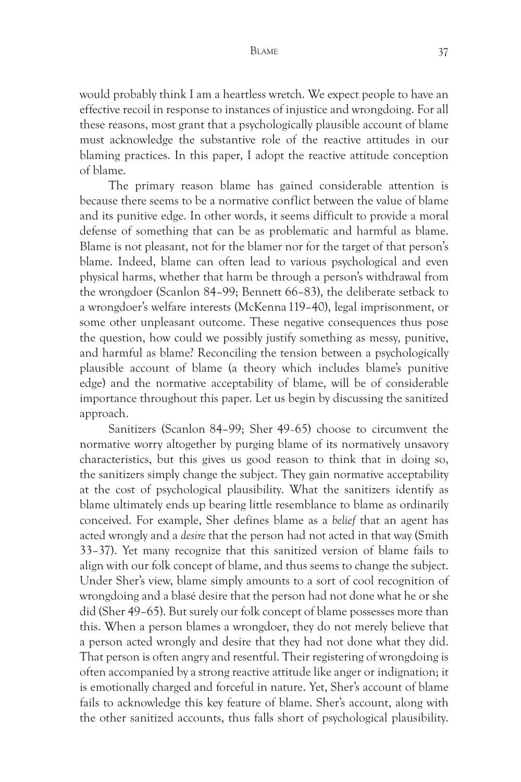would probably think I am a heartless wretch. We expect people to have an effective recoil in response to instances of injustice and wrongdoing. For all these reasons, most grant that a psychologically plausible account of blame must acknowledge the substantive role of the reactive attitudes in our blaming practices. In this paper, I adopt the reactive attitude conception of blame.

The primary reason blame has gained considerable attention is because there seems to be a normative conflict between the value of blame and its punitive edge. In other words, it seems difficult to provide a moral defense of something that can be as problematic and harmful as blame. Blame is not pleasant, not for the blamer nor for the target of that person's blame. Indeed, blame can often lead to various psychological and even physical harms, whether that harm be through a person's withdrawal from the wrongdoer (Scanlon 84–99; Bennett 66–83), the deliberate setback to a wrongdoer's welfare interests (McKenna 119–40), legal imprisonment, or some other unpleasant outcome. These negative consequences thus pose the question, how could we possibly justify something as messy, punitive, and harmful as blame? Reconciling the tension between a psychologically plausible account of blame (a theory which includes blame's punitive edge) and the normative acceptability of blame, will be of considerable importance throughout this paper. Let us begin by discussing the sanitized approach.

Sanitizers (Scanlon 84–99; Sher 49–65) choose to circumvent the normative worry altogether by purging blame of its normatively unsavory characteristics, but this gives us good reason to think that in doing so, the sanitizers simply change the subject. They gain normative acceptability at the cost of psychological plausibility. What the sanitizers identify as blame ultimately ends up bearing little resemblance to blame as ordinarily conceived. For example, Sher defines blame as a *belief* that an agent has acted wrongly and a *desire* that the person had not acted in that way (Smith 33–37). Yet many recognize that this sanitized version of blame fails to align with our folk concept of blame, and thus seems to change the subject. Under Sher's view, blame simply amounts to a sort of cool recognition of wrongdoing and a blasé desire that the person had not done what he or she did (Sher 49–65). But surely our folk concept of blame possesses more than this. When a person blames a wrongdoer, they do not merely believe that a person acted wrongly and desire that they had not done what they did. That person is often angry and resentful. Their registering of wrongdoing is often accompanied by a strong reactive attitude like anger or indignation; it is emotionally charged and forceful in nature. Yet, Sher's account of blame fails to acknowledge this key feature of blame. Sher's account, along with the other sanitized accounts, thus falls short of psychological plausibility.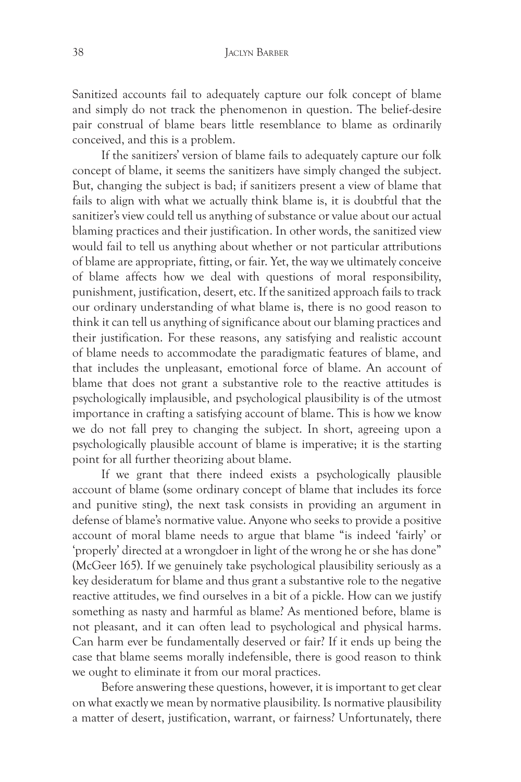Sanitized accounts fail to adequately capture our folk concept of blame and simply do not track the phenomenon in question. The belief-desire pair construal of blame bears little resemblance to blame as ordinarily conceived, and this is a problem.

If the sanitizers' version of blame fails to adequately capture our folk concept of blame, it seems the sanitizers have simply changed the subject. But, changing the subject is bad; if sanitizers present a view of blame that fails to align with what we actually think blame is, it is doubtful that the sanitizer's view could tell us anything of substance or value about our actual blaming practices and their justification. In other words, the sanitized view would fail to tell us anything about whether or not particular attributions of blame are appropriate, fitting, or fair. Yet, the way we ultimately conceive of blame affects how we deal with questions of moral responsibility, punishment, justification, desert, etc. If the sanitized approach fails to track our ordinary understanding of what blame is, there is no good reason to think it can tell us anything of significance about our blaming practices and their justification. For these reasons, any satisfying and realistic account of blame needs to accommodate the paradigmatic features of blame, and that includes the unpleasant, emotional force of blame. An account of blame that does not grant a substantive role to the reactive attitudes is psychologically implausible, and psychological plausibility is of the utmost importance in crafting a satisfying account of blame. This is how we know we do not fall prey to changing the subject. In short, agreeing upon a psychologically plausible account of blame is imperative; it is the starting point for all further theorizing about blame.

If we grant that there indeed exists a psychologically plausible account of blame (some ordinary concept of blame that includes its force and punitive sting), the next task consists in providing an argument in defense of blame's normative value. Anyone who seeks to provide a positive account of moral blame needs to argue that blame "is indeed 'fairly' or 'properly' directed at a wrongdoer in light of the wrong he or she has done" (McGeer 165). If we genuinely take psychological plausibility seriously as a key desideratum for blame and thus grant a substantive role to the negative reactive attitudes, we find ourselves in a bit of a pickle. How can we justify something as nasty and harmful as blame? As mentioned before, blame is not pleasant, and it can often lead to psychological and physical harms. Can harm ever be fundamentally deserved or fair? If it ends up being the case that blame seems morally indefensible, there is good reason to think we ought to eliminate it from our moral practices.

Before answering these questions, however, it is important to get clear on what exactly we mean by normative plausibility. Is normative plausibility a matter of desert, justification, warrant, or fairness? Unfortunately, there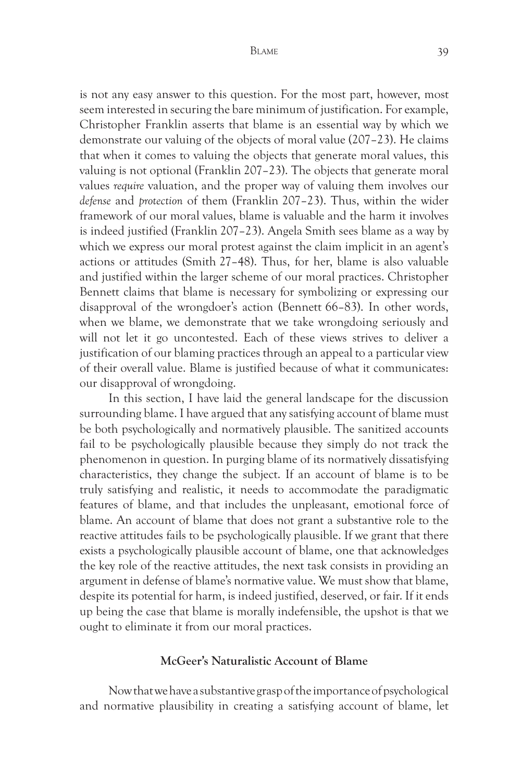is not any easy answer to this question. For the most part, however, most seem interested in securing the bare minimum of justification. For example, Christopher Franklin asserts that blame is an essential way by which we demonstrate our valuing of the objects of moral value (207–23). He claims that when it comes to valuing the objects that generate moral values, this valuing is not optional (Franklin 207–23). The objects that generate moral values *require* valuation, and the proper way of valuing them involves our *defense* and *protection* of them (Franklin 207–23). Thus, within the wider framework of our moral values, blame is valuable and the harm it involves is indeed justified (Franklin 207–23). Angela Smith sees blame as a way by which we express our moral protest against the claim implicit in an agent's actions or attitudes (Smith 27–48). Thus, for her, blame is also valuable and justified within the larger scheme of our moral practices. Christopher Bennett claims that blame is necessary for symbolizing or expressing our disapproval of the wrongdoer's action (Bennett 66–83). In other words, when we blame, we demonstrate that we take wrongdoing seriously and will not let it go uncontested. Each of these views strives to deliver a justification of our blaming practices through an appeal to a particular view of their overall value. Blame is justified because of what it communicates: our disapproval of wrongdoing.

In this section, I have laid the general landscape for the discussion surrounding blame. I have argued that any satisfying account of blame must be both psychologically and normatively plausible. The sanitized accounts fail to be psychologically plausible because they simply do not track the phenomenon in question. In purging blame of its normatively dissatisfying characteristics, they change the subject. If an account of blame is to be truly satisfying and realistic, it needs to accommodate the paradigmatic features of blame, and that includes the unpleasant, emotional force of blame. An account of blame that does not grant a substantive role to the reactive attitudes fails to be psychologically plausible. If we grant that there exists a psychologically plausible account of blame, one that acknowledges the key role of the reactive attitudes, the next task consists in providing an argument in defense of blame's normative value. We must show that blame, despite its potential for harm, is indeed justified, deserved, or fair. If it ends up being the case that blame is morally indefensible, the upshot is that we ought to eliminate it from our moral practices.

## **McGeer's Naturalistic Account of Blame**

Now that we have a substantive grasp of the importance of psychological and normative plausibility in creating a satisfying account of blame, let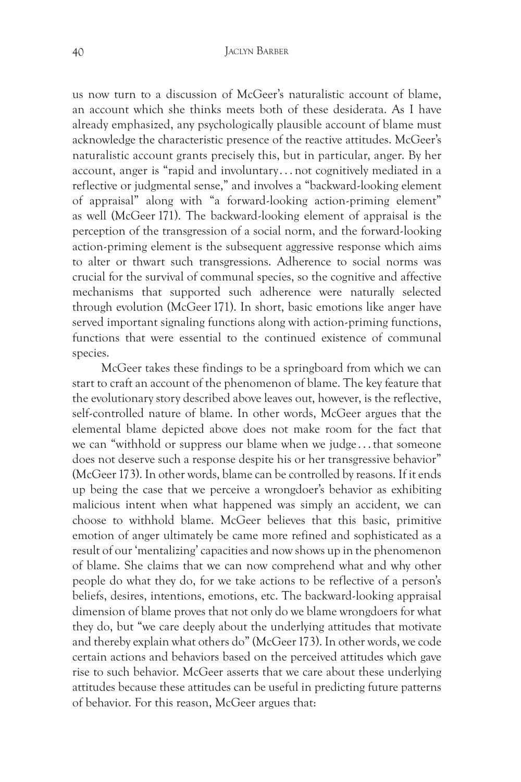us now turn to a discussion of McGeer's naturalistic account of blame, an account which she thinks meets both of these desiderata. As I have already emphasized, any psychologically plausible account of blame must acknowledge the characteristic presence of the reactive attitudes. McGeer's naturalistic account grants precisely this, but in particular, anger. By her account, anger is "rapid and involuntary . . . not cognitively mediated in a reflective or judgmental sense," and involves a "backward-looking element of appraisal" along with "a forward-looking action-priming element" as well (McGeer 171). The backward-looking element of appraisal is the perception of the transgression of a social norm, and the forward-looking action-priming element is the subsequent aggressive response which aims to alter or thwart such transgressions. Adherence to social norms was crucial for the survival of communal species, so the cognitive and affective mechanisms that supported such adherence were naturally selected through evolution (McGeer 171). In short, basic emotions like anger have served important signaling functions along with action-priming functions, functions that were essential to the continued existence of communal species.

McGeer takes these findings to be a springboard from which we can start to craft an account of the phenomenon of blame. The key feature that the evolutionary story described above leaves out, however, is the reflective, self-controlled nature of blame. In other words, McGeer argues that the elemental blame depicted above does not make room for the fact that we can "withhold or suppress our blame when we judge . . . that someone does not deserve such a response despite his or her transgressive behavior" (McGeer 173). In other words, blame can be controlled by reasons. If it ends up being the case that we perceive a wrongdoer's behavior as exhibiting malicious intent when what happened was simply an accident, we can choose to withhold blame. McGeer believes that this basic, primitive emotion of anger ultimately be came more refined and sophisticated as a result of our 'mentalizing' capacities and now shows up in the phenomenon of blame. She claims that we can now comprehend what and why other people do what they do, for we take actions to be reflective of a person's beliefs, desires, intentions, emotions, etc. The backward-looking appraisal dimension of blame proves that not only do we blame wrongdoers for what they do, but "we care deeply about the underlying attitudes that motivate and thereby explain what others do" (McGeer 173). In other words, we code certain actions and behaviors based on the perceived attitudes which gave rise to such behavior. McGeer asserts that we care about these underlying attitudes because these attitudes can be useful in predicting future patterns of behavior. For this reason, McGeer argues that: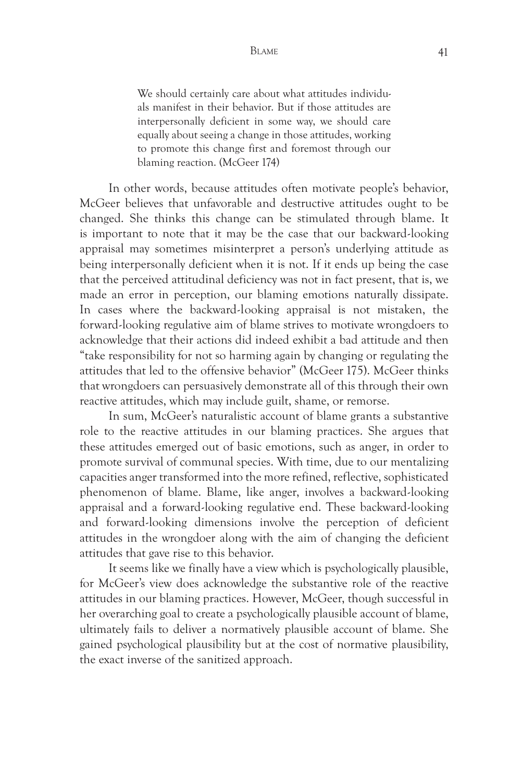We should certainly care about what attitudes individuals manifest in their behavior. But if those attitudes are interpersonally deficient in some way, we should care equally about seeing a change in those attitudes, working to promote this change first and foremost through our blaming reaction. (McGeer 174)

In other words, because attitudes often motivate people's behavior, McGeer believes that unfavorable and destructive attitudes ought to be changed. She thinks this change can be stimulated through blame. It is important to note that it may be the case that our backward-looking appraisal may sometimes misinterpret a person's underlying attitude as being interpersonally deficient when it is not. If it ends up being the case that the perceived attitudinal deficiency was not in fact present, that is, we made an error in perception, our blaming emotions naturally dissipate. In cases where the backward-looking appraisal is not mistaken, the forward-looking regulative aim of blame strives to motivate wrongdoers to acknowledge that their actions did indeed exhibit a bad attitude and then "take responsibility for not so harming again by changing or regulating the attitudes that led to the offensive behavior" (McGeer 175). McGeer thinks that wrongdoers can persuasively demonstrate all of this through their own reactive attitudes, which may include guilt, shame, or remorse.

In sum, McGeer's naturalistic account of blame grants a substantive role to the reactive attitudes in our blaming practices. She argues that these attitudes emerged out of basic emotions, such as anger, in order to promote survival of communal species. With time, due to our mentalizing capacities anger transformed into the more refined, reflective, sophisticated phenomenon of blame. Blame, like anger, involves a backward-looking appraisal and a forward-looking regulative end. These backward-looking and forward-looking dimensions involve the perception of deficient attitudes in the wrongdoer along with the aim of changing the deficient attitudes that gave rise to this behavior.

It seems like we finally have a view which is psychologically plausible, for McGeer's view does acknowledge the substantive role of the reactive attitudes in our blaming practices. However, McGeer, though successful in her overarching goal to create a psychologically plausible account of blame, ultimately fails to deliver a normatively plausible account of blame. She gained psychological plausibility but at the cost of normative plausibility, the exact inverse of the sanitized approach.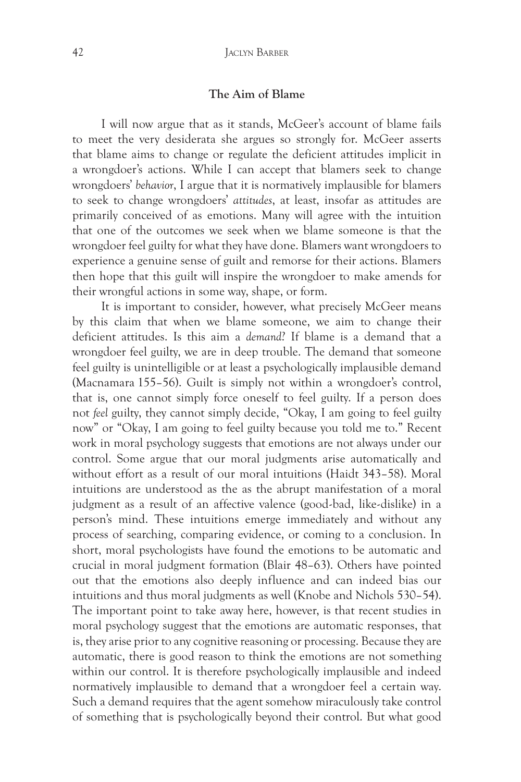# **The Aim of Blame**

I will now argue that as it stands, McGeer's account of blame fails to meet the very desiderata she argues so strongly for. McGeer asserts that blame aims to change or regulate the deficient attitudes implicit in a wrongdoer's actions. While I can accept that blamers seek to change wrongdoers' *behavior*, I argue that it is normatively implausible for blamers to seek to change wrongdoers' *attitudes*, at least, insofar as attitudes are primarily conceived of as emotions. Many will agree with the intuition that one of the outcomes we seek when we blame someone is that the wrongdoer feel guilty for what they have done. Blamers want wrongdoers to experience a genuine sense of guilt and remorse for their actions. Blamers then hope that this guilt will inspire the wrongdoer to make amends for their wrongful actions in some way, shape, or form.

It is important to consider, however, what precisely McGeer means by this claim that when we blame someone, we aim to change their deficient attitudes. Is this aim a *demand*? If blame is a demand that a wrongdoer feel guilty, we are in deep trouble. The demand that someone feel guilty is unintelligible or at least a psychologically implausible demand (Macnamara 155–56). Guilt is simply not within a wrongdoer's control, that is, one cannot simply force oneself to feel guilty. If a person does not *feel* guilty, they cannot simply decide, "Okay, I am going to feel guilty now" or "Okay, I am going to feel guilty because you told me to." Recent work in moral psychology suggests that emotions are not always under our control. Some argue that our moral judgments arise automatically and without effort as a result of our moral intuitions (Haidt 343–58). Moral intuitions are understood as the as the abrupt manifestation of a moral judgment as a result of an affective valence (good-bad, like-dislike) in a person's mind. These intuitions emerge immediately and without any process of searching, comparing evidence, or coming to a conclusion. In short, moral psychologists have found the emotions to be automatic and crucial in moral judgment formation (Blair 48–63). Others have pointed out that the emotions also deeply influence and can indeed bias our intuitions and thus moral judgments as well (Knobe and Nichols 530–54). The important point to take away here, however, is that recent studies in moral psychology suggest that the emotions are automatic responses, that is, they arise prior to any cognitive reasoning or processing. Because they are automatic, there is good reason to think the emotions are not something within our control. It is therefore psychologically implausible and indeed normatively implausible to demand that a wrongdoer feel a certain way. Such a demand requires that the agent somehow miraculously take control of something that is psychologically beyond their control. But what good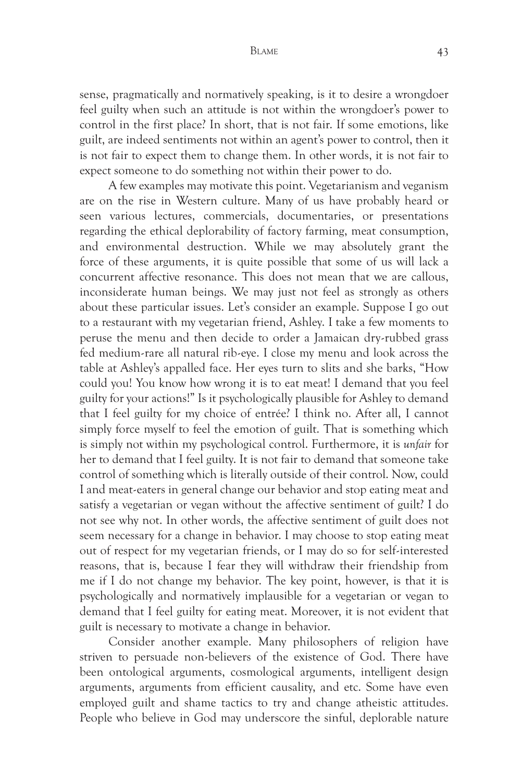## BLAME 43

sense, pragmatically and normatively speaking, is it to desire a wrongdoer feel guilty when such an attitude is not within the wrongdoer's power to control in the first place? In short, that is not fair. If some emotions, like guilt, are indeed sentiments not within an agent's power to control, then it is not fair to expect them to change them. In other words, it is not fair to expect someone to do something not within their power to do.

A few examples may motivate this point. Vegetarianism and veganism are on the rise in Western culture. Many of us have probably heard or seen various lectures, commercials, documentaries, or presentations regarding the ethical deplorability of factory farming, meat consumption, and environmental destruction. While we may absolutely grant the force of these arguments, it is quite possible that some of us will lack a concurrent affective resonance. This does not mean that we are callous, inconsiderate human beings. We may just not feel as strongly as others about these particular issues. Let's consider an example. Suppose I go out to a restaurant with my vegetarian friend, Ashley. I take a few moments to peruse the menu and then decide to order a Jamaican dry-rubbed grass fed medium-rare all natural rib-eye. I close my menu and look across the table at Ashley's appalled face. Her eyes turn to slits and she barks, "How could you! You know how wrong it is to eat meat! I demand that you feel guilty for your actions!" Is it psychologically plausible for Ashley to demand that I feel guilty for my choice of entrée? I think no. After all, I cannot simply force myself to feel the emotion of guilt. That is something which is simply not within my psychological control. Furthermore, it is *unfair* for her to demand that I feel guilty. It is not fair to demand that someone take control of something which is literally outside of their control. Now, could I and meat-eaters in general change our behavior and stop eating meat and satisfy a vegetarian or vegan without the affective sentiment of guilt? I do not see why not. In other words, the affective sentiment of guilt does not seem necessary for a change in behavior. I may choose to stop eating meat out of respect for my vegetarian friends, or I may do so for self-interested reasons, that is, because I fear they will withdraw their friendship from me if I do not change my behavior. The key point, however, is that it is psychologically and normatively implausible for a vegetarian or vegan to demand that I feel guilty for eating meat. Moreover, it is not evident that guilt is necessary to motivate a change in behavior.

Consider another example. Many philosophers of religion have striven to persuade non-believers of the existence of God. There have been ontological arguments, cosmological arguments, intelligent design arguments, arguments from efficient causality, and etc. Some have even employed guilt and shame tactics to try and change atheistic attitudes. People who believe in God may underscore the sinful, deplorable nature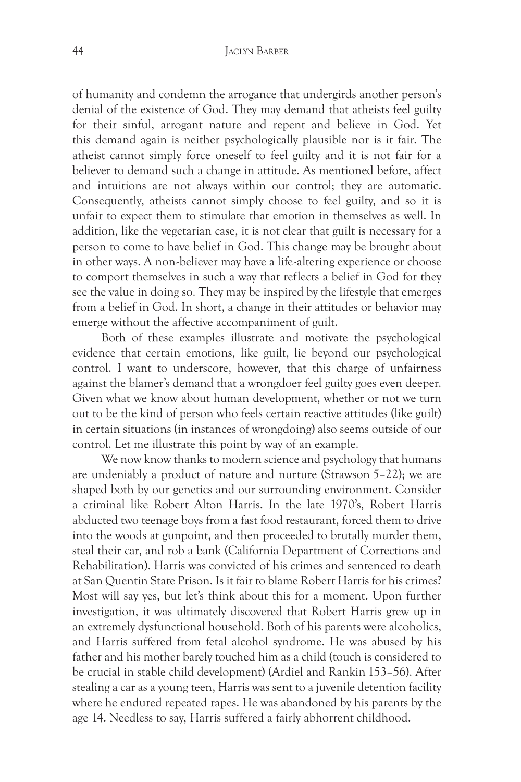of humanity and condemn the arrogance that undergirds another person's denial of the existence of God. They may demand that atheists feel guilty for their sinful, arrogant nature and repent and believe in God. Yet this demand again is neither psychologically plausible nor is it fair. The atheist cannot simply force oneself to feel guilty and it is not fair for a believer to demand such a change in attitude. As mentioned before, affect and intuitions are not always within our control; they are automatic. Consequently, atheists cannot simply choose to feel guilty, and so it is unfair to expect them to stimulate that emotion in themselves as well. In addition, like the vegetarian case, it is not clear that guilt is necessary for a person to come to have belief in God. This change may be brought about in other ways. A non-believer may have a life-altering experience or choose to comport themselves in such a way that reflects a belief in God for they see the value in doing so. They may be inspired by the lifestyle that emerges from a belief in God. In short, a change in their attitudes or behavior may emerge without the affective accompaniment of guilt.

Both of these examples illustrate and motivate the psychological evidence that certain emotions, like guilt, lie beyond our psychological control. I want to underscore, however, that this charge of unfairness against the blamer's demand that a wrongdoer feel guilty goes even deeper. Given what we know about human development, whether or not we turn out to be the kind of person who feels certain reactive attitudes (like guilt) in certain situations (in instances of wrongdoing) also seems outside of our control. Let me illustrate this point by way of an example.

We now know thanks to modern science and psychology that humans are undeniably a product of nature and nurture (Strawson 5–22); we are shaped both by our genetics and our surrounding environment. Consider a criminal like Robert Alton Harris. In the late 1970's, Robert Harris abducted two teenage boys from a fast food restaurant, forced them to drive into the woods at gunpoint, and then proceeded to brutally murder them, steal their car, and rob a bank (California Department of Corrections and Rehabilitation). Harris was convicted of his crimes and sentenced to death at San Quentin State Prison. Is it fair to blame Robert Harris for his crimes? Most will say yes, but let's think about this for a moment. Upon further investigation, it was ultimately discovered that Robert Harris grew up in an extremely dysfunctional household. Both of his parents were alcoholics, and Harris suffered from fetal alcohol syndrome. He was abused by his father and his mother barely touched him as a child (touch is considered to be crucial in stable child development) (Ardiel and Rankin 153–56). After stealing a car as a young teen, Harris was sent to a juvenile detention facility where he endured repeated rapes. He was abandoned by his parents by the age 14. Needless to say, Harris suffered a fairly abhorrent childhood.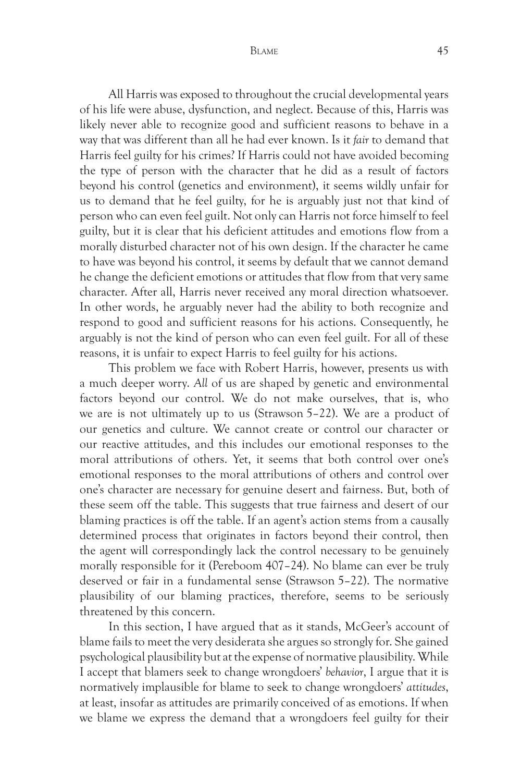BLAME 45

All Harris was exposed to throughout the crucial developmental years of his life were abuse, dysfunction, and neglect. Because of this, Harris was likely never able to recognize good and sufficient reasons to behave in a way that was different than all he had ever known. Is it *fair* to demand that Harris feel guilty for his crimes? If Harris could not have avoided becoming the type of person with the character that he did as a result of factors beyond his control (genetics and environment), it seems wildly unfair for us to demand that he feel guilty, for he is arguably just not that kind of person who can even feel guilt. Not only can Harris not force himself to feel guilty, but it is clear that his deficient attitudes and emotions flow from a morally disturbed character not of his own design. If the character he came to have was beyond his control, it seems by default that we cannot demand he change the deficient emotions or attitudes that flow from that very same character. After all, Harris never received any moral direction whatsoever. In other words, he arguably never had the ability to both recognize and respond to good and sufficient reasons for his actions. Consequently, he arguably is not the kind of person who can even feel guilt. For all of these reasons, it is unfair to expect Harris to feel guilty for his actions.

This problem we face with Robert Harris, however, presents us with a much deeper worry. *All* of us are shaped by genetic and environmental factors beyond our control. We do not make ourselves, that is, who we are is not ultimately up to us (Strawson 5–22). We are a product of our genetics and culture. We cannot create or control our character or our reactive attitudes, and this includes our emotional responses to the moral attributions of others. Yet, it seems that both control over one's emotional responses to the moral attributions of others and control over one's character are necessary for genuine desert and fairness. But, both of these seem off the table. This suggests that true fairness and desert of our blaming practices is off the table. If an agent's action stems from a causally determined process that originates in factors beyond their control, then the agent will correspondingly lack the control necessary to be genuinely morally responsible for it (Pereboom 407–24). No blame can ever be truly deserved or fair in a fundamental sense (Strawson 5–22). The normative plausibility of our blaming practices, therefore, seems to be seriously threatened by this concern.

In this section, I have argued that as it stands, McGeer's account of blame fails to meet the very desiderata she argues so strongly for. She gained psychological plausibility but at the expense of normative plausibility. While I accept that blamers seek to change wrongdoers' *behavior*, I argue that it is normatively implausible for blame to seek to change wrongdoers' *attitudes*, at least, insofar as attitudes are primarily conceived of as emotions. If when we blame we express the demand that a wrongdoers feel guilty for their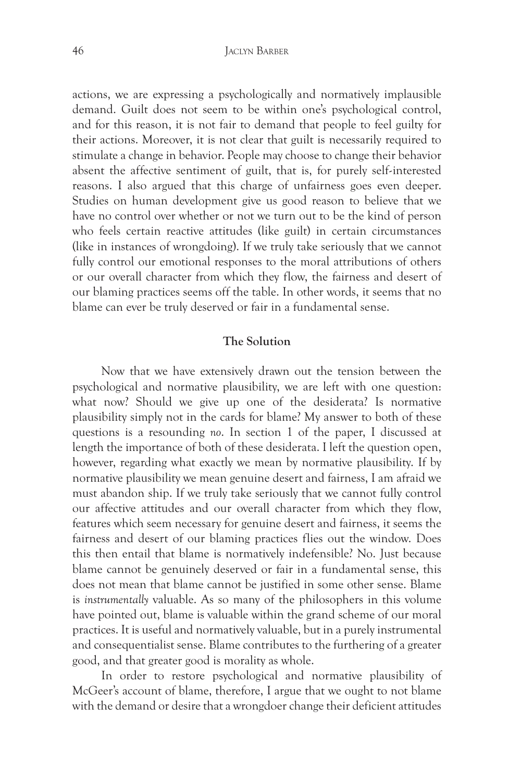actions, we are expressing a psychologically and normatively implausible demand. Guilt does not seem to be within one's psychological control, and for this reason, it is not fair to demand that people to feel guilty for their actions. Moreover, it is not clear that guilt is necessarily required to stimulate a change in behavior. People may choose to change their behavior absent the affective sentiment of guilt, that is, for purely self-interested reasons. I also argued that this charge of unfairness goes even deeper. Studies on human development give us good reason to believe that we have no control over whether or not we turn out to be the kind of person who feels certain reactive attitudes (like guilt) in certain circumstances (like in instances of wrongdoing). If we truly take seriously that we cannot fully control our emotional responses to the moral attributions of others or our overall character from which they flow, the fairness and desert of our blaming practices seems off the table. In other words, it seems that no blame can ever be truly deserved or fair in a fundamental sense.

# **The Solution**

Now that we have extensively drawn out the tension between the psychological and normative plausibility, we are left with one question: what now? Should we give up one of the desiderata? Is normative plausibility simply not in the cards for blame? My answer to both of these questions is a resounding *no*. In section 1 of the paper, I discussed at length the importance of both of these desiderata. I left the question open, however, regarding what exactly we mean by normative plausibility. If by normative plausibility we mean genuine desert and fairness, I am afraid we must abandon ship. If we truly take seriously that we cannot fully control our affective attitudes and our overall character from which they flow, features which seem necessary for genuine desert and fairness, it seems the fairness and desert of our blaming practices flies out the window. Does this then entail that blame is normatively indefensible? No. Just because blame cannot be genuinely deserved or fair in a fundamental sense, this does not mean that blame cannot be justified in some other sense. Blame is *instrumentally* valuable. As so many of the philosophers in this volume have pointed out, blame is valuable within the grand scheme of our moral practices. It is useful and normatively valuable, but in a purely instrumental and consequentialist sense. Blame contributes to the furthering of a greater good, and that greater good is morality as whole.

In order to restore psychological and normative plausibility of McGeer's account of blame, therefore, I argue that we ought to not blame with the demand or desire that a wrongdoer change their deficient attitudes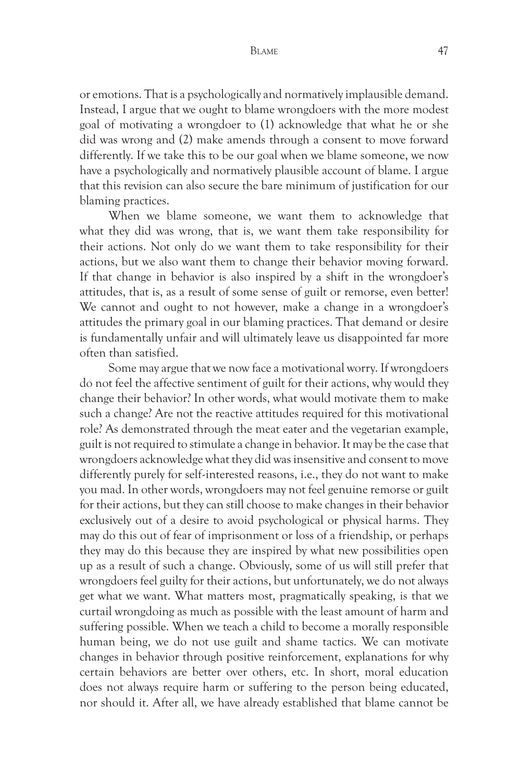or emotions. That is a psychologically and normatively implausible demand. Instead, I argue that we ought to blame wrongdoers with the more modest goal of motivating a wrongdoer to (1) acknowledge that what he or she did was wrong and (2) make amends through a consent to move forward differently. If we take this to be our goal when we blame someone, we now have a psychologically and normatively plausible account of blame. I argue that this revision can also secure the bare minimum of justification for our blaming practices.

When we blame someone, we want them to acknowledge that what they did was wrong, that is, we want them take responsibility for their actions. Not only do we want them to take responsibility for their actions, but we also want them to change their behavior moving forward. If that change in behavior is also inspired by a shift in the wrongdoer's attitudes, that is, as a result of some sense of guilt or remorse, even better! We cannot and ought to not however, make a change in a wrongdoer's attitudes the primary goal in our blaming practices. That demand or desire is fundamentally unfair and will ultimately leave us disappointed far more often than satisfied.

Some may argue that we now face a motivational worry. If wrongdoers do not feel the affective sentiment of guilt for their actions, why would they change their behavior? In other words, what would motivate them to make such a change? Are not the reactive attitudes required for this motivational role? As demonstrated through the meat eater and the vegetarian example, guilt is not required to stimulate a change in behavior. It may be the case that wrongdoers acknowledge what they did was insensitive and consent to move differently purely for self-interested reasons, i.e., they do not want to make you mad. In other words, wrongdoers may not feel genuine remorse or guilt for their actions, but they can still choose to make changes in their behavior exclusively out of a desire to avoid psychological or physical harms. They may do this out of fear of imprisonment or loss of a friendship, or perhaps they may do this because they are inspired by what new possibilities open up as a result of such a change. Obviously, some of us will still prefer that wrongdoers feel guilty for their actions, but unfortunately, we do not always get what we want. What matters most, pragmatically speaking, is that we curtail wrongdoing as much as possible with the least amount of harm and suffering possible. When we teach a child to become a morally responsible human being, we do not use guilt and shame tactics. We can motivate changes in behavior through positive reinforcement, explanations for why certain behaviors are better over others, etc. In short, moral education does not always require harm or suffering to the person being educated, nor should it. After all, we have already established that blame cannot be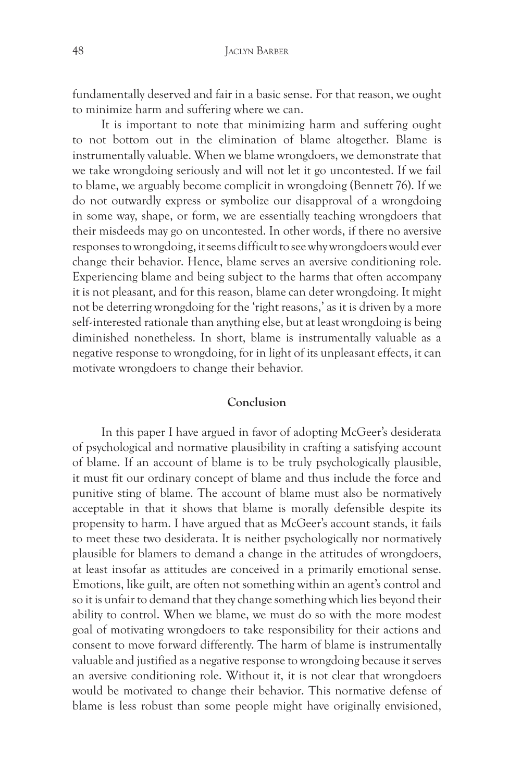fundamentally deserved and fair in a basic sense. For that reason, we ought to minimize harm and suffering where we can.

It is important to note that minimizing harm and suffering ought to not bottom out in the elimination of blame altogether. Blame is instrumentally valuable. When we blame wrongdoers, we demonstrate that we take wrongdoing seriously and will not let it go uncontested. If we fail to blame, we arguably become complicit in wrongdoing (Bennett 76). If we do not outwardly express or symbolize our disapproval of a wrongdoing in some way, shape, or form, we are essentially teaching wrongdoers that their misdeeds may go on uncontested. In other words, if there no aversive responses to wrongdoing, it seems difficult to see why wrongdoers would ever change their behavior. Hence, blame serves an aversive conditioning role. Experiencing blame and being subject to the harms that often accompany it is not pleasant, and for this reason, blame can deter wrongdoing. It might not be deterring wrongdoing for the 'right reasons,' as it is driven by a more self-interested rationale than anything else, but at least wrongdoing is being diminished nonetheless. In short, blame is instrumentally valuable as a negative response to wrongdoing, for in light of its unpleasant effects, it can motivate wrongdoers to change their behavior.

# **Conclusion**

In this paper I have argued in favor of adopting McGeer's desiderata of psychological and normative plausibility in crafting a satisfying account of blame. If an account of blame is to be truly psychologically plausible, it must fit our ordinary concept of blame and thus include the force and punitive sting of blame. The account of blame must also be normatively acceptable in that it shows that blame is morally defensible despite its propensity to harm. I have argued that as McGeer's account stands, it fails to meet these two desiderata. It is neither psychologically nor normatively plausible for blamers to demand a change in the attitudes of wrongdoers, at least insofar as attitudes are conceived in a primarily emotional sense. Emotions, like guilt, are often not something within an agent's control and so it is unfair to demand that they change something which lies beyond their ability to control. When we blame, we must do so with the more modest goal of motivating wrongdoers to take responsibility for their actions and consent to move forward differently. The harm of blame is instrumentally valuable and justified as a negative response to wrongdoing because it serves an aversive conditioning role. Without it, it is not clear that wrongdoers would be motivated to change their behavior. This normative defense of blame is less robust than some people might have originally envisioned,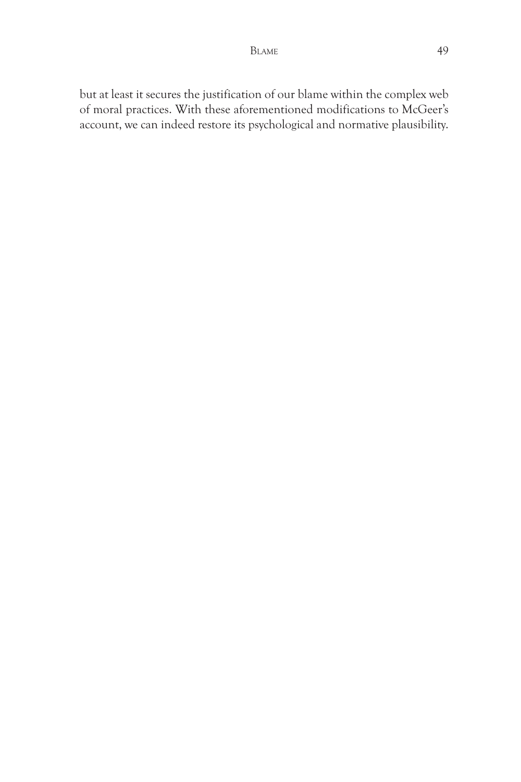but at least it secures the justification of our blame within the complex web of moral practices. With these aforementioned modifications to McGeer's account, we can indeed restore its psychological and normative plausibility.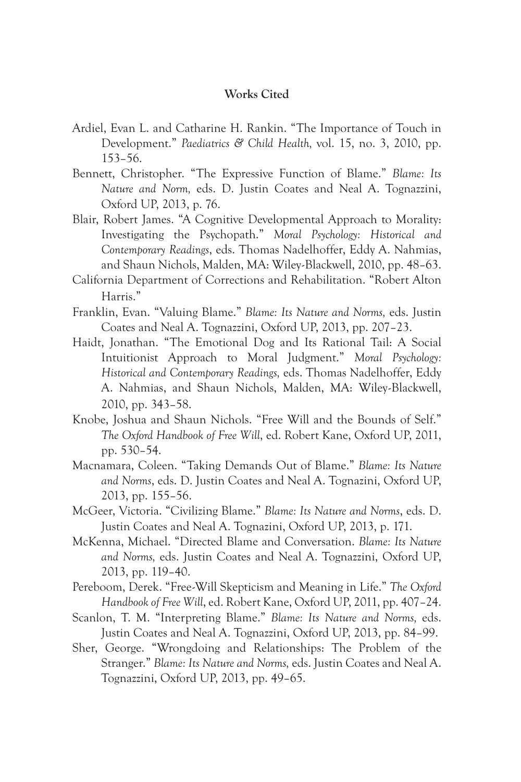## **Works Cited**

- Ardiel, Evan L. and Catharine H. Rankin. "The Importance of Touch in Development." *Paediatrics & Child Health,* vol. 15, no. 3, 2010, pp. 153–56.
- Bennett, Christopher. "The Expressive Function of Blame." *Blame: Its Nature and Norm,* eds. D. Justin Coates and Neal A. Tognazzini, Oxford UP, 2013, p. 76.
- Blair, Robert James. "A Cognitive Developmental Approach to Morality: Investigating the Psychopath." *Moral Psychology: Historical and Contemporary Readings*, eds. Thomas Nadelhoffer, Eddy A. Nahmias, and Shaun Nichols, Malden, MA: Wiley-Blackwell, 2010, pp. 48–63.
- California Department of Corrections and Rehabilitation. "Robert Alton Harris."
- Franklin, Evan. "Valuing Blame." *Blame: Its Nature and Norms,* eds. Justin Coates and Neal A. Tognazzini, Oxford UP, 2013, pp. 207–23.
- Haidt, Jonathan. "The Emotional Dog and Its Rational Tail: A Social Intuitionist Approach to Moral Judgment." *Moral Psychology: Historical and Contemporary Readings,* eds. Thomas Nadelhoffer, Eddy A. Nahmias, and Shaun Nichols, Malden, MA: Wiley-Blackwell, 2010, pp. 343–58.
- Knobe, Joshua and Shaun Nichols. "Free Will and the Bounds of Self." *The Oxford Handbook of Free Will*, ed. Robert Kane, Oxford UP, 2011, pp. 530–54.
- Macnamara, Coleen. "Taking Demands Out of Blame." *Blame: Its Nature and Norms*, eds. D. Justin Coates and Neal A. Tognazini, Oxford UP, 2013, pp. 155–56.
- McGeer, Victoria. "Civilizing Blame." *Blame: Its Nature and Norms*, eds. D. Justin Coates and Neal A. Tognazini, Oxford UP, 2013, p. 171.
- McKenna, Michael. "Directed Blame and Conversation. *Blame: Its Nature and Norms,* eds. Justin Coates and Neal A. Tognazzini, Oxford UP, 2013, pp. 119–40.
- Pereboom, Derek. "Free-Will Skepticism and Meaning in Life." *The Oxford Handbook of Free Will*, ed. Robert Kane, Oxford UP, 2011, pp. 407–24.
- Scanlon, T. M. "Interpreting Blame." *Blame: Its Nature and Norms,* eds. Justin Coates and Neal A. Tognazzini, Oxford UP, 2013, pp. 84–99.
- Sher, George. "Wrongdoing and Relationships: The Problem of the Stranger." *Blame: Its Nature and Norms,* eds. Justin Coates and Neal A. Tognazzini, Oxford UP, 2013, pp. 49–65.